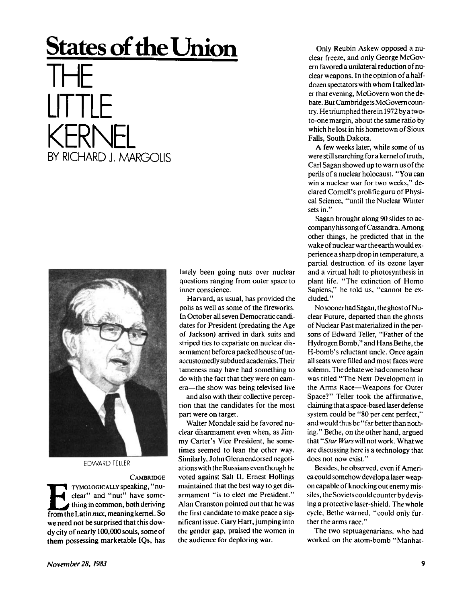## **States of the Union**

## THE LITTLE KERNEL BY RICHARD J. MARGOLIS



EDWARD TELLER

**CAMBRIDGE E**<br> **From the Latin** *nux*, meaning kernel. So<br> **from the Latin** *nux*, meaning kernel. So TYMOLOGIC ALLY **speaking, "nuclear" and "nut" have something in common, both deriving we need not be surprised that this dowdy city of nearly** 100,00 <sup>0</sup> **souls, some of them possessing marketable IQs, has** 

**lately been going nuts over nuclear questions ranging from outer space to inner conscience.** 

**Harvard, as usual, has provided the polis as well as some of the fireworks. In October all seven Democratic candidates for President (predating the Age of Jackson) arrived in dark suits and striped ties to expatiate on nuclear disarmament before a packed house of unaccustomedly subdued academics .Their tameness may have had something to do with the fact that they were on camera—the show was being televised live —and also with their collective perception that the candidates for the most part were on target.** 

**Walter Mondale said he favored nuclear disarmament even when, as Jimmy Carter's Vice President, he sometimes seemed to lean the other way. Similarly, John Glenn endorsed negotiations with the Russians even though he voted against Salt II. Ernest Hollings maintained that the best way to get disarmament "is to elect me President." Alan Cranston pointed out that he was the first candidate to make peace a significant issue. Gary Hart, jumping into the gender gap, praised the women in the audience for deploring war.** 

**Only Reubin Askew opposed a nuclear freeze, and only George McGovern favored a unilateral reduction of nuclear weapons. In the opinion of a halfdozen spectators with whom I talked later that evening, McGovern won the debate. But Cambridge is McGovem country. Hetriumphed there in 1972byatwoto-one margin, about the same ratio by which he lost in his hometown of Sioux Falls, South Dakota.** 

**A few weeks later, while some of us were still searching for a kernel of truth, Carl Sagan showed up to warn us of the perils of a nuclear holocaust. "You can win a nuclear war for two weeks," declared Cornell's prolific guru of Physical Science, "until the Nuclear Winter sets in."** 

**Sagan brought along 90 slides to accompany his song of Cassandra. Among other things, he predicted that in the wakeofnuclearwarthe earth would experience a sharp drop in temperature, a partial destruction of its ozone layer and a virtual halt to photosynthesis in plant life. "The extinction of Homo Sapiens," he told us, "cannot be excluded."** 

**Nosooner had Sagan, theghost of Nuclear Future, departed than the ghosts of Nuclear Past materialized in the persons of Edward Teller, "Father of the Hydrogen Bomb," and Hans Bethe, the H-bomb's reluctant uncle. Once again all seats were filled and most faces were solemn. The debate wehadcometohear was titled "The Next Development in the Arms Race—Weapons for Outer Space?" Teller took the affirmative, claiming that a space-based laser defense system could be "80 per cent perfect," and would thus be " far better than nothing." Bethe, on the other hand, argued that** *"Star Warsv/ift* **not work. What we are discussing here is a technology that does not now exist."** 

**Besides, he observed, even if America could somehow develop a laser weapon capable of knocking out enemy missiles, the Soviets could counter by devising a protective laser-shield. The whole cycle, Bethe warned, "could only further the arms race."** 

**The two septuagenarians, who had worked on the atom-bomb "Manhat-**